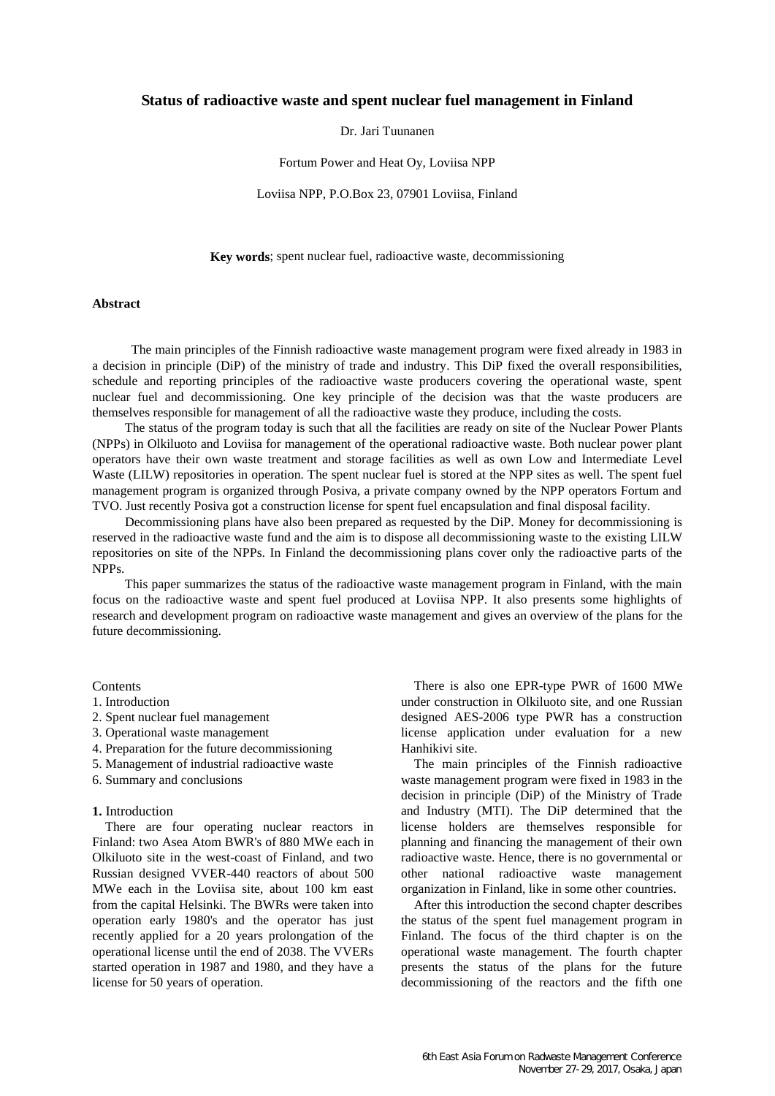# **Status of radioactive waste and spent nuclear fuel management in Finland**

#### Dr. Jari Tuunanen

Fortum Power and Heat Oy, Loviisa NPP

Loviisa NPP, P.O.Box 23, 07901 Loviisa, Finland

**Key words**; spent nuclear fuel, radioactive waste, decommissioning

#### **Abstract**

 The main principles of the Finnish radioactive waste management program were fixed already in 1983 in a decision in principle (DiP) of the ministry of trade and industry. This DiP fixed the overall responsibilities, schedule and reporting principles of the radioactive waste producers covering the operational waste, spent nuclear fuel and decommissioning. One key principle of the decision was that the waste producers are themselves responsible for management of all the radioactive waste they produce, including the costs.

 The status of the program today is such that all the facilities are ready on site of the Nuclear Power Plants (NPPs) in Olkiluoto and Loviisa for management of the operational radioactive waste. Both nuclear power plant operators have their own waste treatment and storage facilities as well as own Low and Intermediate Level Waste (LILW) repositories in operation. The spent nuclear fuel is stored at the NPP sites as well. The spent fuel management program is organized through Posiva, a private company owned by the NPP operators Fortum and TVO. Just recently Posiva got a construction license for spent fuel encapsulation and final disposal facility.

 Decommissioning plans have also been prepared as requested by the DiP. Money for decommissioning is reserved in the radioactive waste fund and the aim is to dispose all decommissioning waste to the existing LILW repositories on site of the NPPs. In Finland the decommissioning plans cover only the radioactive parts of the NPPs.

 This paper summarizes the status of the radioactive waste management program in Finland, with the main focus on the radioactive waste and spent fuel produced at Loviisa NPP. It also presents some highlights of research and development program on radioactive waste management and gives an overview of the plans for the future decommissioning.

#### Contents

#### 1. Introduction

- 2. Spent nuclear fuel management
- 3. Operational waste management
- 4. Preparation for the future decommissioning
- 5. Management of industrial radioactive waste
- 6. Summary and conclusions

### **1.** Introduction

There are four operating nuclear reactors in Finland: two Asea Atom BWR's of 880 MWe each in Olkiluoto site in the west-coast of Finland, and two Russian designed VVER-440 reactors of about 500 MWe each in the Loviisa site, about 100 km east from the capital Helsinki. The BWRs were taken into operation early 1980's and the operator has just recently applied for a 20 years prolongation of the operational license until the end of 2038. The VVERs started operation in 1987 and 1980, and they have a license for 50 years of operation.

There is also one EPR-type PWR of 1600 MWe under construction in Olkiluoto site, and one Russian designed AES-2006 type PWR has a construction license application under evaluation for a new Hanhikivi site.

The main principles of the Finnish radioactive waste management program were fixed in 1983 in the decision in principle (DiP) of the Ministry of Trade and Industry (MTI). The DiP determined that the license holders are themselves responsible for planning and financing the management of their own radioactive waste. Hence, there is no governmental or other national radioactive waste management organization in Finland, like in some other countries.

After this introduction the second chapter describes the status of the spent fuel management program in Finland. The focus of the third chapter is on the operational waste management. The fourth chapter presents the status of the plans for the future decommissioning of the reactors and the fifth one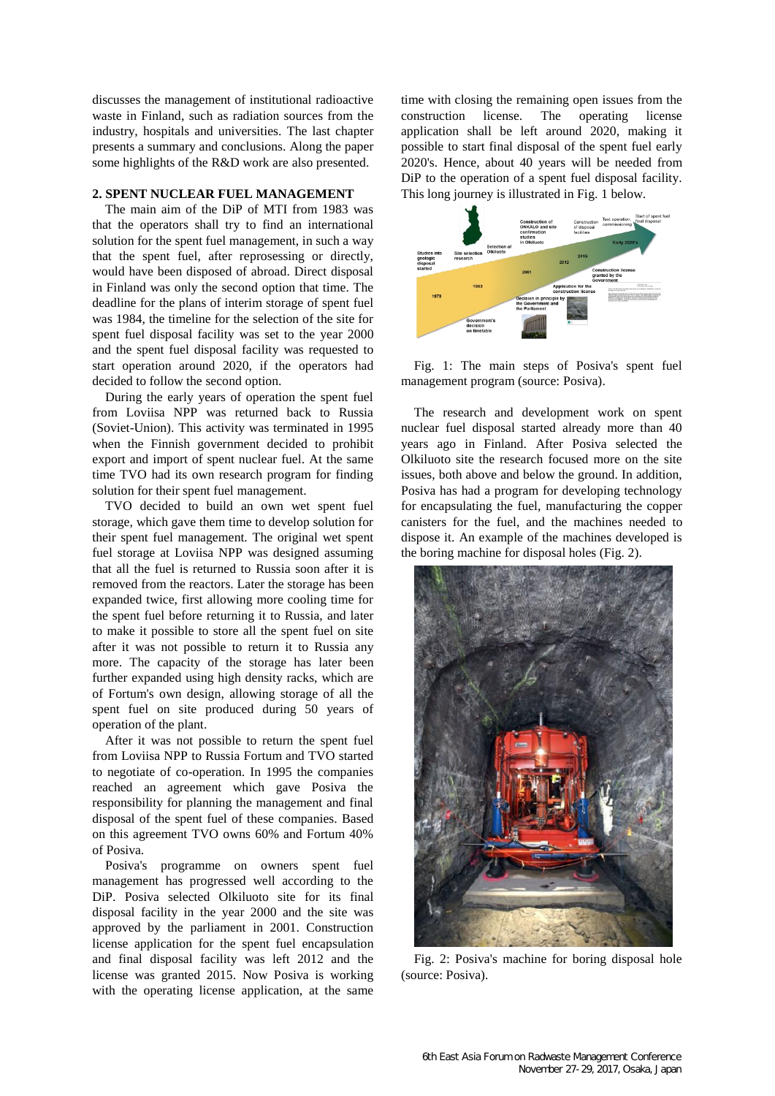discusses the management of institutional radioactive waste in Finland, such as radiation sources from the industry, hospitals and universities. The last chapter presents a summary and conclusions. Along the paper some highlights of the R&D work are also presented.

## **2. SPENT NUCLEAR FUEL MANAGEMENT**

The main aim of the DiP of MTI from 1983 was that the operators shall try to find an international solution for the spent fuel management, in such a way that the spent fuel, after reprosessing or directly, would have been disposed of abroad. Direct disposal in Finland was only the second option that time. The deadline for the plans of interim storage of spent fuel was 1984, the timeline for the selection of the site for spent fuel disposal facility was set to the year 2000 and the spent fuel disposal facility was requested to start operation around 2020, if the operators had decided to follow the second option.

During the early years of operation the spent fuel from Loviisa NPP was returned back to Russia (Soviet-Union). This activity was terminated in 1995 when the Finnish government decided to prohibit export and import of spent nuclear fuel. At the same time TVO had its own research program for finding solution for their spent fuel management.

TVO decided to build an own wet spent fuel storage, which gave them time to develop solution for their spent fuel management. The original wet spent fuel storage at Loviisa NPP was designed assuming that all the fuel is returned to Russia soon after it is removed from the reactors. Later the storage has been expanded twice, first allowing more cooling time for the spent fuel before returning it to Russia, and later to make it possible to store all the spent fuel on site after it was not possible to return it to Russia any more. The capacity of the storage has later been further expanded using high density racks, which are of Fortum's own design, allowing storage of all the spent fuel on site produced during 50 years of operation of the plant.

After it was not possible to return the spent fuel from Loviisa NPP to Russia Fortum and TVO started to negotiate of co-operation. In 1995 the companies reached an agreement which gave Posiva the responsibility for planning the management and final disposal of the spent fuel of these companies. Based on this agreement TVO owns 60% and Fortum 40% of Posiva.

Posiva's programme on owners spent fuel management has progressed well according to the DiP. Posiva selected Olkiluoto site for its final disposal facility in the year 2000 and the site was approved by the parliament in 2001. Construction license application for the spent fuel encapsulation and final disposal facility was left 2012 and the license was granted 2015. Now Posiva is working with the operating license application, at the same time with closing the remaining open issues from the construction license. The operating license application shall be left around 2020, making it possible to start final disposal of the spent fuel early 2020's. Hence, about 40 years will be needed from DiP to the operation of a spent fuel disposal facility. This long journey is illustrated in Fig. 1 below.



Fig. 1: The main steps of Posiva's spent fuel management program (source: Posiva).

The research and development work on spent nuclear fuel disposal started already more than 40 years ago in Finland. After Posiva selected the Olkiluoto site the research focused more on the site issues, both above and below the ground. In addition, Posiva has had a program for developing technology for encapsulating the fuel, manufacturing the copper canisters for the fuel, and the machines needed to dispose it. An example of the machines developed is the boring machine for disposal holes (Fig. 2).



Fig. 2: Posiva's machine for boring disposal hole (source: Posiva).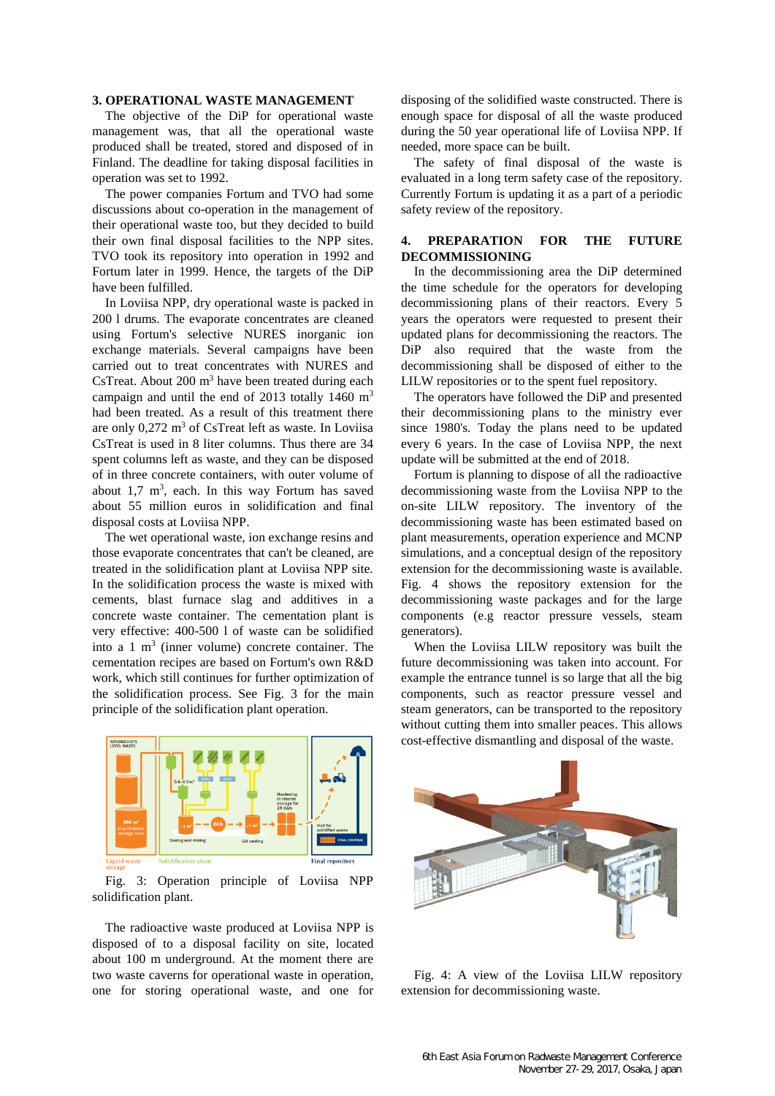### **3. OPERATIONAL WASTE MANAGEMENT**

The objective of the DiP for operational waste management was, that all the operational waste produced shall be treated, stored and disposed of in Finland. The deadline for taking disposal facilities in operation was set to 1992.

The power companies Fortum and TVO had some discussions about co-operation in the management of their operational waste too, but they decided to build their own final disposal facilities to the NPP sites. TVO took its repository into operation in 1992 and Fortum later in 1999. Hence, the targets of the DiP have been fulfilled.

In Loviisa NPP, dry operational waste is packed in 200 l drums. The evaporate concentrates are cleaned using Fortum's selective NURES inorganic ion exchange materials. Several campaigns have been carried out to treat concentrates with NURES and CsTreat. About  $200 \text{ m}^3$  have been treated during each campaign and until the end of 2013 totally 1460  $\text{m}^3$ had been treated. As a result of this treatment there are only 0,272 m<sup>3</sup> of CsTreat left as waste. In Loviisa CsTreat is used in 8 liter columns. Thus there are 34 spent columns left as waste, and they can be disposed of in three concrete containers, with outer volume of about  $1,7 \text{ m}^3$ , each. In this way Fortum has saved about 55 million euros in solidification and final disposal costs at Loviisa NPP.

The wet operational waste, ion exchange resins and those evaporate concentrates that can't be cleaned, are treated in the solidification plant at Loviisa NPP site. In the solidification process the waste is mixed with cements, blast furnace slag and additives in a concrete waste container. The cementation plant is very effective: 400-500 l of waste can be solidified into a  $1 \text{ m}^3$  (inner volume) concrete container. The cementation recipes are based on Fortum's own R&D work, which still continues for further optimization of the solidification process. See Fig. 3 for the main principle of the solidification plant operation.

Fig. 3: Operation principle of Loviisa NPP solidification plant.

idification plan

The radioactive waste produced at Loviisa NPP is disposed of to a disposal facility on site, located about 100 m underground. At the moment there are two waste caverns for operational waste in operation, one for storing operational waste, and one for disposing of the solidified waste constructed. There is enough space for disposal of all the waste produced during the 50 year operational life of Loviisa NPP. If needed, more space can be built.

The safety of final disposal of the waste is evaluated in a long term safety case of the repository. Currently Fortum is updating it as a part of a periodic safety review of the repository.

## **4. PREPARATION FOR THE FUTURE DECOMMISSIONING**

In the decommissioning area the DiP determined the time schedule for the operators for developing decommissioning plans of their reactors. Every 5 years the operators were requested to present their updated plans for decommissioning the reactors. The DiP also required that the waste from the decommissioning shall be disposed of either to the LILW repositories or to the spent fuel repository.

The operators have followed the DiP and presented their decommissioning plans to the ministry ever since 1980's. Today the plans need to be updated every 6 years. In the case of Loviisa NPP, the next update will be submitted at the end of 2018.

Fortum is planning to dispose of all the radioactive decommissioning waste from the Loviisa NPP to the on-site LILW repository. The inventory of the decommissioning waste has been estimated based on plant measurements, operation experience and MCNP simulations, and a conceptual design of the repository extension for the decommissioning waste is available. Fig. 4 shows the repository extension for the decommissioning waste packages and for the large components (e.g reactor pressure vessels, steam generators).

When the Loviisa LILW repository was built the future decommissioning was taken into account. For example the entrance tunnel is so large that all the big components, such as reactor pressure vessel and steam generators, can be transported to the repository without cutting them into smaller peaces. This allows cost-effective dismantling and disposal of the waste.



Fig. 4: A view of the Loviisa LILW repository extension for decommissioning waste.